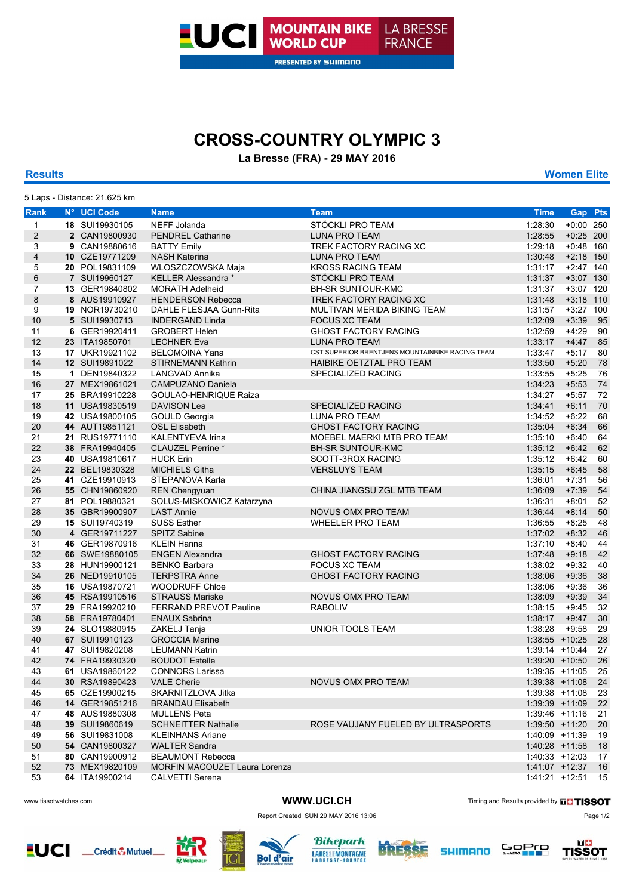

# **CROSS-COUNTRY OLYMPIC 3**

### **La Bresse (FRA) - 29 MAY 2016**

**Results Women Elite**

|                         | 5 Laps - Distance: 21.625 km     |                                                 |                                                 |                                    |                  |          |
|-------------------------|----------------------------------|-------------------------------------------------|-------------------------------------------------|------------------------------------|------------------|----------|
| Rank                    | N° UCI Code                      | <b>Name</b>                                     | <b>Team</b>                                     | <b>Time</b>                        | Gap Pts          |          |
| 1                       | 18 SUI19930105                   | NEFF Jolanda                                    | STÖCKLI PRO TEAM                                | 1:28:30                            | $+0:00$ 250      |          |
| $\overline{\mathbf{c}}$ | 2 CAN19800930                    | <b>PENDREL Catharine</b>                        | <b>LUNA PRO TEAM</b>                            | 1:28:55                            | $+0:25$ 200      |          |
| 3                       | 9 CAN19880616                    | <b>BATTY Emily</b>                              | TREK FACTORY RACING XC                          | 1:29:18                            | $+0:48$ 160      |          |
| 4                       | 10 CZE19771209                   | <b>NASH Katerina</b>                            | <b>LUNA PRO TEAM</b>                            | 1:30:48                            | $+2:18$ 150      |          |
| 5                       | 20 POL19831109                   | WLOSZCZOWSKA Maja                               | <b>KROSS RACING TEAM</b>                        | 1:31:17                            | $+2:47$ 140      |          |
| 6                       | 7 SUI19960127                    | <b>KELLER Alessandra *</b>                      | STÖCKLI PRO TEAM                                | 1:31:37                            | +3:07 130        |          |
| 7                       | 13 GER19840802                   | <b>MORATH Adelheid</b>                          | <b>BH-SR SUNTOUR-KMC</b>                        | 1:31:37                            | +3:07 120        |          |
| 8                       | 8 AUS19910927                    | <b>HENDERSON Rebecca</b>                        | TREK FACTORY RACING XC                          | 1:31:48                            | $+3:18$ 110      |          |
| 9                       | 19 NOR19730210                   | DAHLE FLESJAA Gunn-Rita                         | MULTIVAN MERIDA BIKING TEAM                     | 1:31:57                            | +3:27 100        |          |
| 10                      | 5 SUI19930713                    | <b>INDERGAND Linda</b>                          | <b>FOCUS XC TEAM</b>                            | 1:32:09                            | $+3:39$          | 95       |
| 11                      | 6 GER19920411                    | <b>GROBERT Helen</b>                            | <b>GHOST FACTORY RACING</b>                     | 1:32:59                            | $+4:29$          | 90       |
| 12                      | 23 ITA19850701                   | <b>LECHNER Eva</b>                              | <b>LUNA PRO TEAM</b>                            | 1:33:17                            | $+4:47$          | 85       |
| 13                      | 17 UKR19921102                   | <b>BELOMOINA Yana</b>                           | CST SUPERIOR BRENTJENS MOUNTAINBIKE RACING TEAM | 1:33:47                            | $+5:17$          | 80       |
| 14                      | 12 SUI19891022                   | <b>STIRNEMANN Kathrin</b>                       | HAIBIKE OETZTAL PRO TEAM                        | 1:33:50                            | $+5:20$          | 78       |
| 15                      | 1 DEN19840322                    | LANGVAD Annika                                  | SPECIALIZED RACING                              | 1:33:55                            | $+5:25$          | 76       |
| 16                      | 27 MEX19861021                   | <b>CAMPUZANO Daniela</b>                        |                                                 | 1:34:23                            | $+5:53$          | 74       |
| 17                      | 25 BRA19910228                   | <b>GOULAO-HENRIQUE Raiza</b>                    |                                                 | 1:34:27                            | $+5:57$          | 72       |
| 18                      | 11 USA19830519                   | <b>DAVISON Lea</b>                              | <b>SPECIALIZED RACING</b>                       | 1:34:41                            | $+6:11$          | 70       |
| 19                      | 42 USA19800105                   | GOULD Georgia                                   | LUNA PRO TEAM                                   | 1:34:52                            | $+6:22$          | 68       |
| 20                      | 44 AUT19851121                   | <b>OSL Elisabeth</b>                            | <b>GHOST FACTORY RACING</b>                     | 1:35:04                            | $+6:34$          | 66       |
| 21                      | 21 RUS19771110                   | <b>KALENTYEVA Irina</b>                         | MOEBEL MAERKI MTB PRO TEAM                      | 1:35:10                            | $+6:40$          | 64       |
| 22                      | 38 FRA19940405                   | CLAUZEL Perrine *                               | BH-SR SUNTOUR-KMC                               | 1:35:12                            | $+6:42$          | 62       |
| 23                      | 40 USA19810617                   | <b>HUCK Erin</b>                                | SCOTT-3ROX RACING                               | 1:35:12                            | $+6:42$          | 60       |
| 24                      | 22 BEL19830328                   | <b>MICHIELS Githa</b>                           | <b>VERSLUYS TEAM</b>                            | 1:35:15                            | $+6:45$          | 58       |
| 25                      | 41 CZE19910913                   | STEPANOVA Karla                                 |                                                 | 1:36:01                            | $+7:31$          | 56       |
| 26                      | 55 CHN19860920                   | <b>REN Chengyuan</b>                            | CHINA JIANGSU ZGL MTB TEAM                      | 1:36:09                            | $+7:39$          | 54       |
| 27                      | 81 POL19880321                   | SOLUS-MISKOWICZ Katarzyna                       |                                                 | 1:36:31                            | $+8:01$          | 52       |
| 28                      | 35 GBR19900907                   | <b>LAST Annie</b>                               | NOVUS OMX PRO TEAM                              | 1:36:44                            | $+8:14$          | 50       |
| 29                      | 15 SUI19740319                   | <b>SUSS Esther</b>                              | <b>WHEELER PRO TEAM</b>                         | 1:36:55                            | $+8:25$          | 48       |
| 30                      | 4 GER19711227                    | <b>SPITZ Sabine</b>                             |                                                 | 1:37:02                            | $+8:32$          | 46       |
| 31                      | 46 GER19870916                   | <b>KLEIN Hanna</b>                              |                                                 | 1:37:10                            | $+8:40$          | 44       |
| 32                      | 66 SWE19880105                   | <b>ENGEN Alexandra</b>                          | <b>GHOST FACTORY RACING</b>                     | 1:37:48                            | $+9:18$          | 42       |
| 33                      | 28 HUN19900121                   | <b>BENKO Barbara</b>                            | <b>FOCUS XC TEAM</b>                            | 1:38:02                            | $+9:32$          | 40       |
| 34                      | 26 NED19910105                   | <b>TERPSTRA Anne</b>                            | <b>GHOST FACTORY RACING</b>                     | 1:38:06                            | $+9:36$          | 38       |
| 35                      | 16 USA19870721                   | <b>WOODRUFF Chloe</b>                           |                                                 | 1:38:06                            | $+9:36$          | 36       |
| 36                      | 45 RSA19910516                   | <b>STRAUSS Mariske</b>                          | NOVUS OMX PRO TEAM                              | 1:38:09                            | $+9:39$          | 34       |
| 37                      | 29 FRA19920210                   | <b>FERRAND PREVOT Pauline</b>                   | <b>RABOLIV</b>                                  | 1:38:15                            | $+9:45$          | 32       |
| 38                      | 58 FRA19780401                   | <b>ENAUX Sabrina</b>                            |                                                 | 1:38:17                            | $+9:47$          | 30       |
| 39                      | 24 SLO19880915                   | ZAKELJ Tanja                                    | UNIOR TOOLS TEAM                                | 1:38:28                            | $+9:58$          | 29       |
| 40                      | 67 SUI19910123                   | <b>GROCCIA Marine</b>                           |                                                 | $1:38:55$ +10:25                   |                  | 28       |
| 41                      | 47 SUI19820208                   | <b>LEUMANN Katrin</b>                           |                                                 | $1:39:14$ +10:44                   |                  | 27       |
| 42                      | 74 FRA19930320                   | <b>BOUDOT Estelle</b>                           |                                                 | $1:39:20 + 10:50$                  |                  | 26       |
| 43                      | 61 USA19860122                   | <b>CONNORS Larissa</b>                          |                                                 | $1:39:35$ +11:05                   |                  | 25       |
| 44                      | 30 RSA19890423                   | <b>VALE Cherie</b>                              | NOVUS OMX PRO TEAM                              | $1:39:38$ +11:08                   |                  | 24       |
| 45                      | 65 CZE19900215                   | SKARNITZLOVA Jitka                              |                                                 | 1:39:38 +11:08<br>$1:39:39$ +11:09 |                  | 23       |
| 46<br>47                | 14 GER19851216                   | <b>BRANDAU Elisabeth</b><br><b>MULLENS Peta</b> |                                                 |                                    | $1:39:46$ +11:16 | 22       |
| 48                      | 48 AUS19880308<br>39 SUI19860619 | <b>SCHNEITTER Nathalie</b>                      | ROSE VAUJANY FUELED BY ULTRASPORTS              | $1:39:50$ +11:20                   |                  | 21<br>20 |
| 49                      | 56 SUI19831008                   | <b>KLEINHANS Ariane</b>                         |                                                 | 1:40:09 +11:39                     |                  | 19       |
| 50                      | 54 CAN19800327                   | <b>WALTER Sandra</b>                            |                                                 | 1:40:28 +11:58                     |                  | 18       |
| 51                      | 80 CAN19900912                   | <b>BEAUMONT Rebecca</b>                         |                                                 | $1:40:33 +12:03$                   |                  | 17       |
| 52                      | 73 MEX19820109                   | <b>MORFIN MACOUZET Laura Lorenza</b>            |                                                 | 1:41:07 +12:37                     |                  | 16       |
| 53                      | 64 ITA19900214                   | CALVETTI Serena                                 |                                                 | $1:41:21$ +12:51                   |                  | 15       |
|                         |                                  |                                                 |                                                 |                                    |                  |          |

WWW.UCI.CH Timing and Results provided by **THISSOT** 

**LUCI** \_Crédit & Mutuel\_









Report Created SUN 29 MAY 2016 13:06 Page 1/2